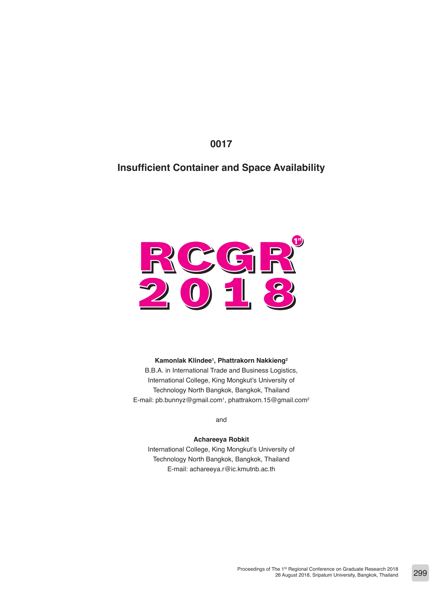**0017**

# **Insufficient Container and Space Availability**



#### **Kamonlak Klindee1 , Phattrakorn Nakkieng2**

B.B.A. in International Trade and Business Logistics, International College, King Mongkut's University of Technology North Bangkok, Bangkok, Thailand E-mail: pb.bunnyz@gmail.com1, phattrakorn.15@gmail.com<sup>2</sup>

and

#### **Achareeya Robkit**

International College, King Mongkut's University of Technology North Bangkok, Bangkok, Thailand E-mail: achareeya.r@ic.kmutnb.ac.th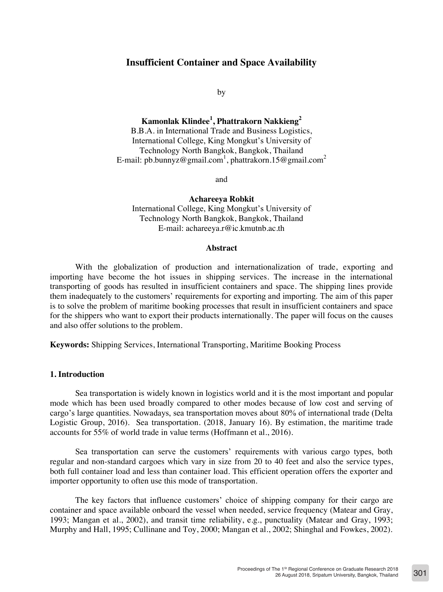## **Insufficient Container and Space Availability**

by

**Kamonlak Klindee<sup>1</sup> , Phattrakorn Nakkieng<sup>2</sup>** B.B.A. in International Trade and Business Logistics, International College, King Mongkut's University of Technology North Bangkok, Bangkok, Thailand E-mail: pb.bunnyz@gmail.com<sup>1</sup>, phattrakorn.15@gmail.com<sup>2</sup>

and

**Achareeya Robkit** International College, King Mongkut's University of Technology North Bangkok, Bangkok, Thailand E-mail: achareeya.r@ic.kmutnb.ac.th

#### **Abstract**

With the globalization of production and internationalization of trade, exporting and importing have become the hot issues in shipping services. The increase in the international transporting of goods has resulted in insufficient containers and space. The shipping lines provide them inadequately to the customers' requirements for exporting and importing. The aim of this paper is to solve the problem of maritime booking processes that result in insufficient containers and space for the shippers who want to export their products internationally. The paper will focus on the causes and also offer solutions to the problem.

**Keywords:** Shipping Services, International Transporting, Maritime Booking Process

### **1. Introduction**

Sea transportation is widely known in logistics world and it is the most important and popular mode which has been used broadly compared to other modes because of low cost and serving of cargo's large quantities. Nowadays, sea transportation moves about 80% of international trade (Delta Logistic Group, 2016). Sea transportation. (2018, January 16). By estimation, the maritime trade accounts for 55% of world trade in value terms (Hoffmann et al., 2016).

Sea transportation can serve the customers' requirements with various cargo types, both regular and non-standard cargoes which vary in size from 20 to 40 feet and also the service types, both full container load and less than container load. This efficient operation offers the exporter and importer opportunity to often use this mode of transportation.

The key factors that influence customers' choice of shipping company for their cargo are container and space available onboard the vessel when needed, service frequency (Matear and Gray, 1993; Mangan et al., 2002), and transit time reliability, e.g., punctuality (Matear and Gray, 1993; Murphy and Hall, 1995; Cullinane and Toy, 2000; Mangan et al., 2002; Shinghal and Fowkes, 2002).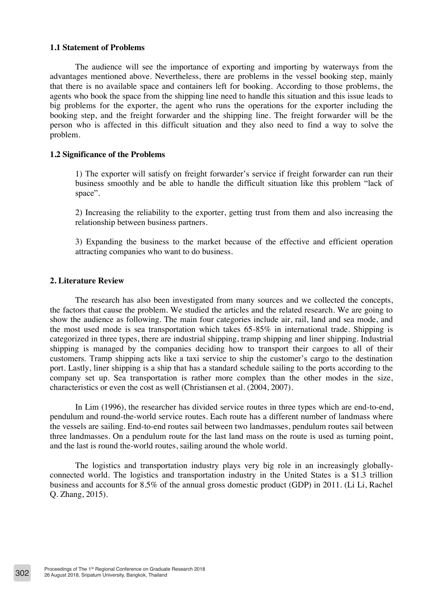### **1.1 Statement of Problems**

The audience will see the importance of exporting and importing by waterways from the advantages mentioned above. Nevertheless, there are problems in the vessel booking step, mainly that there is no available space and containers left for booking. According to those problems, the agents who book the space from the shipping line need to handle this situation and this issue leads to big problems for the exporter, the agent who runs the operations for the exporter including the booking step, and the freight forwarder and the shipping line. The freight forwarder will be the person who is affected in this difficult situation and they also need to find a way to solve the problem.

### **1.2 Significance of the Problems**

1) The exporter will satisfy on freight forwarder's service if freight forwarder can run their business smoothly and be able to handle the difficult situation like this problem "lack of space".

2) Increasing the reliability to the exporter, getting trust from them and also increasing the relationship between business partners.

3) Expanding the business to the market because of the effective and efficient operation attracting companies who want to do business.

### **2. Literature Review**

The research has also been investigated from many sources and we collected the concepts, the factors that cause the problem. We studied the articles and the related research. We are going to show the audience as following. The main four categories include air, rail, land and sea mode, and the most used mode is sea transportation which takes  $65-85\%$  in international trade. Shipping is categorized in three types, there are industrial shipping, tramp shipping and liner shipping. Industrial shipping is managed by the companies deciding how to transport their cargoes to all of their customers. Tramp shipping acts like a taxi service to ship the customer's cargo to the destination port. Lastly, liner shipping is a ship that has a standard schedule sailing to the ports according to the company set up. Sea transportation is rather more complex than the other modes in the size, characteristics or even the cost as well (Christiansen et al. (2004, 2007).

In Lim (1996), the researcher has divided service routes in three types which are end-to-end, pendulum and round-the-world service routes. Each route has a different number of landmass where the vessels are sailing. End-to-end routes sail between two landmasses, pendulum routes sail between three landmasses. On a pendulum route for the last land mass on the route is used as turning point, and the last is round the-world routes, sailing around the whole world.

The logistics and transportation industry plays very big role in an increasingly globallyconnected world. The logistics and transportation industry in the United States is a \$1.3 trillion business and accounts for 8.5% of the annual gross domestic product (GDP) in 2011. (Li Li, Rachel Q. Zhang, 2015).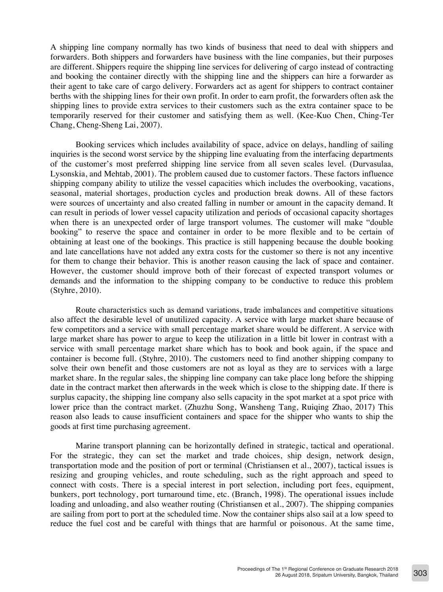A shipping line company normally has two kinds of business that need to deal with shippers and forwarders. Both shippers and forwarders have business with the line companies, but their purposes are different. Shippers require the shipping line services for delivering of cargo instead of contracting and booking the container directly with the shipping line and the shippers can hire a forwarder as their agent to take care of cargo delivery. Forwarders act as agent for shippers to contract container berths with the shipping lines for their own profit. In order to earn profit, the forwarders often ask the shipping lines to provide extra services to their customers such as the extra container space to be temporarily reserved for their customer and satisfying them as well. (Kee-Kuo Chen, Ching-Ter Chang, Cheng-Sheng Lai, 2007).

Booking services which includes availability of space, advice on delays, handling of sailing inquiries is the second worst service by the shipping line evaluating from the interfacing departments of the customer's most preferred shipping line service from all seven scales level. (Durvasulaa, Lysonskia, and Mehtab, 2001). The problem caused due to customer factors. These factors influence shipping company ability to utilize the vessel capacities which includes the overbooking, vacations, seasonal, material shortages, production cycles and production break downs. All of these factors were sources of uncertainty and also created falling in number or amount in the capacity demand. It can result in periods of lower vessel capacity utilization and periods of occasional capacity shortages when there is an unexpected order of large transport volumes. The customer will make "double booking" to reserve the space and container in order to be more flexible and to be certain of obtaining at least one of the bookings. This practice is still happening because the double booking and late cancellations have not added any extra costs for the customer so there is not any incentive for them to change their behavior. This is another reason causing the lack of space and container. However, the customer should improve both of their forecast of expected transport volumes or demands and the information to the shipping company to be conductive to reduce this problem (Styhre, 2010).

Route characteristics such as demand variations, trade imbalances and competitive situations also affect the desirable level of unutilized capacity. A service with large market share because of few competitors and a service with small percentage market share would be different. A service with large market share has power to argue to keep the utilization in a little bit lower in contrast with a service with small percentage market share which has to book and book again, if the space and container is become full. (Styhre, 2010). The customers need to find another shipping company to solve their own benefit and those customers are not as loyal as they are to services with a large market share. In the regular sales, the shipping line company can take place long before the shipping date in the contract market then afterwards in the week which is close to the shipping date. If there is surplus capacity, the shipping line company also sells capacity in the spot market at a spot price with lower price than the contract market. (Zhuzhu Song, Wansheng Tang, Ruiqing Zhao, 2017) This reason also leads to cause insufficient containers and space for the shipper who wants to ship the goods at first time purchasing agreement.

Marine transport planning can be horizontally defined in strategic, tactical and operational. For the strategic, they can set the market and trade choices, ship design, network design, transportation mode and the position of port or terminal (Christiansen et al., 2007), tactical issues is resizing and grouping vehicles, and route scheduling, such as the right approach and speed to connect with costs. There is a special interest in port selection, including port fees, equipment, bunkers, port technology, port turnaround time, etc. (Branch, 1998). The operational issues include loading and unloading, and also weather routing (Christiansen et al., 2007). The shipping companies are sailing from port to port at the scheduled time. Now the container ships also sail at a low speed to reduce the fuel cost and be careful with things that are harmful or poisonous. At the same time,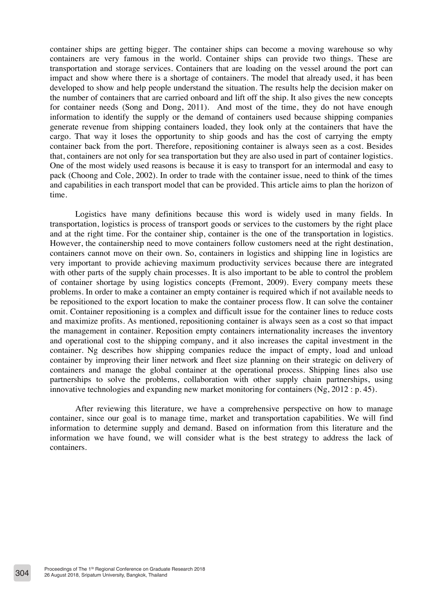container ships are getting bigger. The container ships can become a moving warehouse so why containers are very famous in the world. Container ships can provide two things. These are transportation and storage services. Containers that are loading on the vessel around the port can impact and show where there is a shortage of containers. The model that already used, it has been developed to show and help people understand the situation. The results help the decision maker on the number of containers that are carried onboard and lift off the ship. It also gives the new concepts for container needs (Song and Dong, 2011). And most of the time, they do not have enough information to identify the supply or the demand of containers used because shipping companies generate revenue from shipping containers loaded, they look only at the containers that have the cargo. That way it loses the opportunity to ship goods and has the cost of carrying the empty container back from the port. Therefore, repositioning container is always seen as a cost. Besides that, containers are not only for sea transportation but they are also used in part of container logistics. One of the most widely used reasons is because it is easy to transport for an intermodal and easy to pack (Choong and Cole, 2002). In order to trade with the container issue, need to think of the times and capabilities in each transport model that can be provided. This article aims to plan the horizon of time.

Logistics have many definitions because this word is widely used in many fields. In transportation, logistics is process of transport goods or services to the customers by the right place and at the right time. For the container ship, container is the one of the transportation in logistics. However, the containership need to move containers follow customers need at the right destination, containers cannot move on their own. So, containers in logistics and shipping line in logistics are very important to provide achieving maximum productivity services because there are integrated with other parts of the supply chain processes. It is also important to be able to control the problem of container shortage by using logistics concepts (Fremont, 2009). Every company meets these problems. In order to make a container an empty container is required which if not available needs to be repositioned to the export location to make the container process flow. It can solve the container omit. Container repositioning is a complex and difficult issue for the container lines to reduce costs and maximize profits. As mentioned, repositioning container is always seen as a cost so that impact the management in container. Reposition empty containers internationality increases the inventory and operational cost to the shipping company, and it also increases the capital investment in the container. Ng describes how shipping companies reduce the impact of empty, load and unload container by improving their liner network and fleet size planning on their strategic on delivery of containers and manage the global container at the operational process. Shipping lines also use partnerships to solve the problems, collaboration with other supply chain partnerships, using innovative technologies and expanding new market monitoring for containers  $(Ng, 2012 : p. 45)$ .

After reviewing this literature, we have a comprehensive perspective on how to manage container, since our goal is to manage time, market and transportation capabilities. We will find information to determine supply and demand. Based on information from this literature and the information we have found, we will consider what is the best strategy to address the lack of containers.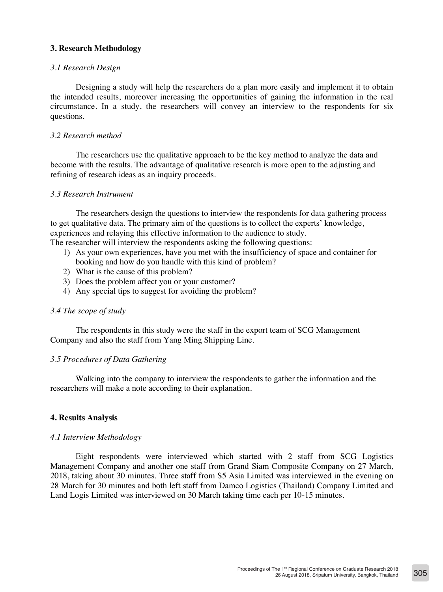### **3. Research Methodology**

### *3.1 Research Design*

Designing a study will help the researchers do a plan more easily and implement it to obtain the intended results, moreover increasing the opportunities of gaining the information in the real circumstance. In a study, the researchers will convey an interview to the respondents for six questions.

### *3.2 Research method*

The researchers use the qualitative approach to be the key method to analyze the data and become with the results. The advantage of qualitative research is more open to the adjusting and refining of research ideas as an inquiry proceeds.

#### *3.3 Research Instrument*

The researchers design the questions to interview the respondents for data gathering process to get qualitative data. The primary aim of the questions is to collect the experts' knowledge, experiences and relaying this effective information to the audience to study. The researcher will interview the respondents asking the following questions:

- 1) As your own experiences, have you met with the insufficiency of space and container for booking and how do you handle with this kind of problem?
- 2) What is the cause of this problem?
- 3) Does the problem affect you or your customer?
- 4) Any special tips to suggest for avoiding the problem?

### *3.4 The scope of study*

The respondents in this study were the staff in the export team of SCG Management Company and also the staff from Yang Ming Shipping Line.

### *3.5 Procedures of Data Gathering*

Walking into the company to interview the respondents to gather the information and the researchers will make a note according to their explanation.

### **4. Results Analysis**

### *4.1 Interview Methodology*

Eight respondents were interviewed which started with 2 staff from SCG Logistics Management Company and another one staff from Grand Siam Composite Company on 27 March, 2018, taking about 30 minutes. Three staff from S5 Asia Limited was interviewed in the evening on 28 March for 30 minutes and both left staff from Damco Logistics (Thailand) Company Limited and Land Logis Limited was interviewed on 30 March taking time each per 10-15 minutes.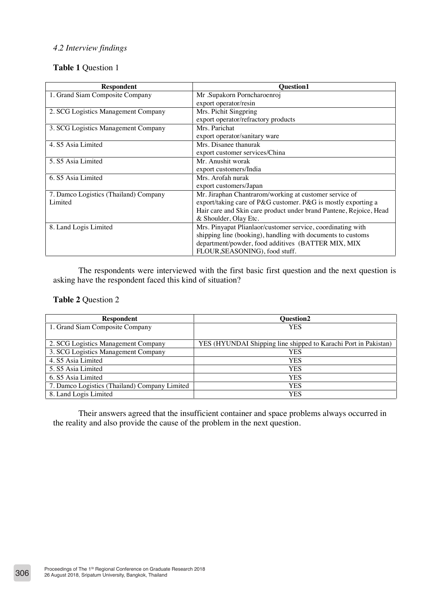## *4.2 Interview findings*

## **Table 1** Question 1

| <b>Respondent</b>                     | <b>Ouestion1</b>                                                   |
|---------------------------------------|--------------------------------------------------------------------|
| 1. Grand Siam Composite Company       | Mr .Supakorn Porncharoenroj                                        |
|                                       | export operator/resin                                              |
| 2. SCG Logistics Management Company   | Mrs. Pichit Singpring                                              |
|                                       | export operator/refractory products                                |
| 3. SCG Logistics Management Company   | Mrs. Parichat                                                      |
|                                       | export operator/sanitary ware                                      |
| 4. S5 Asia Limited                    | Mrs. Disanee thanurak                                              |
|                                       | export customer services/China                                     |
| 5. S5 Asia Limited                    | Mr. Anushit worak                                                  |
|                                       | export customers/India                                             |
| 6. S5 Asia Limited                    | Mrs. Arofah nurak                                                  |
|                                       | export customers/Japan                                             |
| 7. Damco Logistics (Thailand) Company | Mr. Jiraphan Chantrarom/working at customer service of             |
| Limited                               | export/taking care of P&G customer. P&G is mostly exporting a      |
|                                       | Hair care and Skin care product under brand Pantene, Rejoice, Head |
|                                       | & Shoulder, Olay Etc.                                              |
| 8. Land Logis Limited                 | Mrs. Pinyapat Plianlaor/customer service, coordinating with        |
|                                       | shipping line (booking), handling with documents to customs        |
|                                       | department/powder, food additives (BATTER MIX, MIX)                |
|                                       | FLOUR, SEASONING), food stuff.                                     |

The respondents were interviewed with the first basic first question and the next question is asking have the respondent faced this kind of situation?

### **Table 2** Question 2

| <b>Respondent</b>                             | <b>Ouestion2</b>                                                |
|-----------------------------------------------|-----------------------------------------------------------------|
| 1. Grand Siam Composite Company               | <b>YES</b>                                                      |
|                                               |                                                                 |
| 2. SCG Logistics Management Company           | YES (HYUNDAI Shipping line shipped to Karachi Port in Pakistan) |
| 3. SCG Logistics Management Company           | <b>YES</b>                                                      |
| 4. S5 Asia Limited                            | <b>YES</b>                                                      |
| 5. S5 Asia Limited                            | <b>YES</b>                                                      |
| 6. S5 Asia Limited                            | <b>YES</b>                                                      |
| 7. Damco Logistics (Thailand) Company Limited | YES                                                             |
| 8. Land Logis Limited                         | <b>YES</b>                                                      |

Their answers agreed that the insufficient container and space problems always occurred in the reality and also provide the cause of the problem in the next question.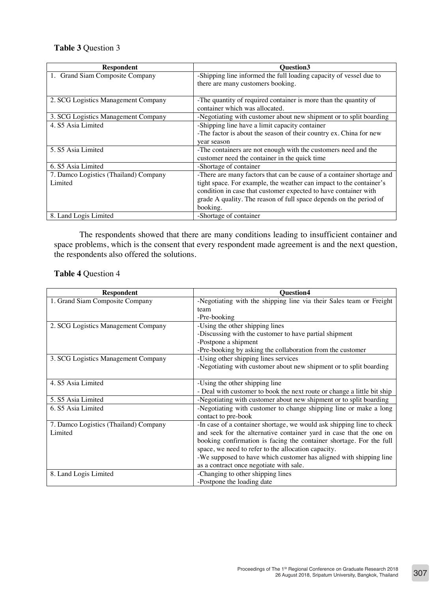# **Table 3** Question 3

| <b>Respondent</b>                     | <b>Ouestion3</b>                                                      |
|---------------------------------------|-----------------------------------------------------------------------|
| 1. Grand Siam Composite Company       | -Shipping line informed the full loading capacity of vessel due to    |
|                                       | there are many customers booking.                                     |
|                                       |                                                                       |
| 2. SCG Logistics Management Company   | -The quantity of required container is more than the quantity of      |
|                                       | container which was allocated.                                        |
| 3. SCG Logistics Management Company   | -Negotiating with customer about new shipment or to split boarding    |
| 4. S5 Asia Limited                    | -Shipping line have a limit capacity container                        |
|                                       | -The factor is about the season of their country ex. China for new    |
|                                       | year season                                                           |
| 5. S5 Asia Limited                    | -The containers are not enough with the customers need and the        |
|                                       | customer need the container in the quick time                         |
| 6. S5 Asia Limited                    | -Shortage of container                                                |
| 7. Damco Logistics (Thailand) Company | -There are many factors that can be cause of a container shortage and |
| Limited                               | tight space. For example, the weather can impact to the container's   |
|                                       | condition in case that customer expected to have container with       |
|                                       | grade A quality. The reason of full space depends on the period of    |
|                                       | booking.                                                              |
| 8. Land Logis Limited                 | -Shortage of container                                                |

The respondents showed that there are many conditions leading to insufficient container and space problems, which is the consent that every respondent made agreement is and the next question, the respondents also offered the solutions.

## **Table 4** Question 4

| <b>Respondent</b>                     | <b>Ouestion4</b>                                                        |
|---------------------------------------|-------------------------------------------------------------------------|
| 1. Grand Siam Composite Company       | -Negotiating with the shipping line via their Sales team or Freight     |
|                                       | team                                                                    |
|                                       | -Pre-booking                                                            |
| 2. SCG Logistics Management Company   | -Using the other shipping lines                                         |
|                                       | -Discussing with the customer to have partial shipment                  |
|                                       | -Postpone a shipment                                                    |
|                                       | -Pre-booking by asking the collaboration from the customer              |
| 3. SCG Logistics Management Company   | -Using other shipping lines services                                    |
|                                       | -Negotiating with customer about new shipment or to split boarding      |
|                                       |                                                                         |
| 4. S5 Asia Limited                    | -Using the other shipping line                                          |
|                                       | - Deal with customer to book the next route or change a little bit ship |
| 5. S5 Asia Limited                    | -Negotiating with customer about new shipment or to split boarding      |
| 6. S5 Asia Limited                    | -Negotiating with customer to change shipping line or make a long       |
|                                       | contact to pre-book                                                     |
| 7. Damco Logistics (Thailand) Company | -In case of a container shortage, we would ask shipping line to check   |
| Limited                               | and seek for the alternative container yard in case that the one on     |
|                                       | booking confirmation is facing the container shortage. For the full     |
|                                       | space, we need to refer to the allocation capacity.                     |
|                                       | -We supposed to have which customer has aligned with shipping line      |
|                                       | as a contract once negotiate with sale.                                 |
| 8. Land Logis Limited                 | -Changing to other shipping lines                                       |
|                                       | -Postpone the loading date                                              |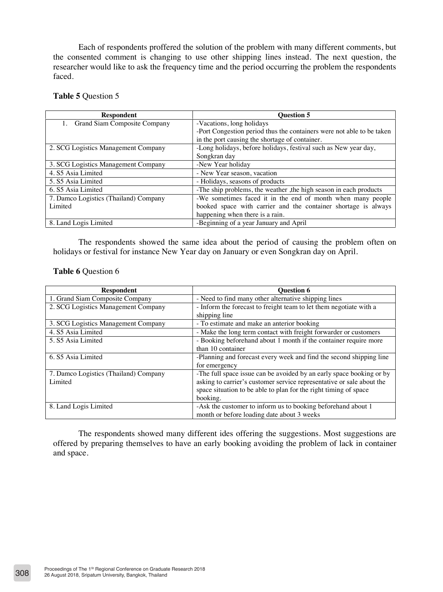Each of respondents proffered the solution of the problem with many different comments, but the consented comment is changing to use other shipping lines instead. The next question, the researcher would like to ask the frequency time and the period occurring the problem the respondents faced.

### **Table 5** Question 5

| <b>Respondent</b>                     | <b>Ouestion 5</b>                                                     |
|---------------------------------------|-----------------------------------------------------------------------|
| Grand Siam Composite Company<br>1.    | -Vacations, long holidays                                             |
|                                       | -Port Congestion period thus the containers were not able to be taken |
|                                       | in the port causing the shortage of container.                        |
| 2. SCG Logistics Management Company   | -Long holidays, before holidays, festival such as New year day,       |
|                                       | Songkran day                                                          |
| 3. SCG Logistics Management Company   | -New Year holiday                                                     |
| 4. S5 Asia Limited                    | - New Year season, vacation                                           |
| 5. S5 Asia Limited                    | - Holidays, seasons of products                                       |
| 6. S5 Asia Limited                    | -The ship problems, the weather , the high season in each products    |
| 7. Damco Logistics (Thailand) Company | -We sometimes faced it in the end of month when many people           |
| Limited                               | booked space with carrier and the container shortage is always        |
|                                       | happening when there is a rain.                                       |
| 8. Land Logis Limited                 | -Beginning of a year January and April                                |

The respondents showed the same idea about the period of causing the problem often on holidays or festival for instance New Year day on January or even Songkran day on April.

### **Table 6** Question 6

| <b>Respondent</b>                     | <b>Ouestion 6</b>                                                     |
|---------------------------------------|-----------------------------------------------------------------------|
| 1. Grand Siam Composite Company       | - Need to find many other alternative shipping lines                  |
| 2. SCG Logistics Management Company   | - Inform the forecast to freight team to let them negotiate with a    |
|                                       | shipping line                                                         |
| 3. SCG Logistics Management Company   | - To estimate and make an anterior booking                            |
| 4. S5 Asia Limited                    | - Make the long term contact with freight forwarder or customers      |
| 5. S5 Asia Limited                    | - Booking beforehand about 1 month if the container require more      |
|                                       | than 10 container                                                     |
| 6. S5 Asia Limited                    | -Planning and forecast every week and find the second shipping line   |
|                                       | for emergency                                                         |
| 7. Damco Logistics (Thailand) Company | -The full space issue can be avoided by an early space booking or by  |
| Limited                               | asking to carrier's customer service representative or sale about the |
|                                       | space situation to be able to plan for the right timing of space      |
|                                       | booking.                                                              |
| 8. Land Logis Limited                 | -Ask the customer to inform us to booking beforehand about 1          |
|                                       | month or before loading date about 3 weeks                            |

The respondents showed many different ides offering the suggestions. Most suggestions are offered by preparing themselves to have an early booking avoiding the problem of lack in container and space.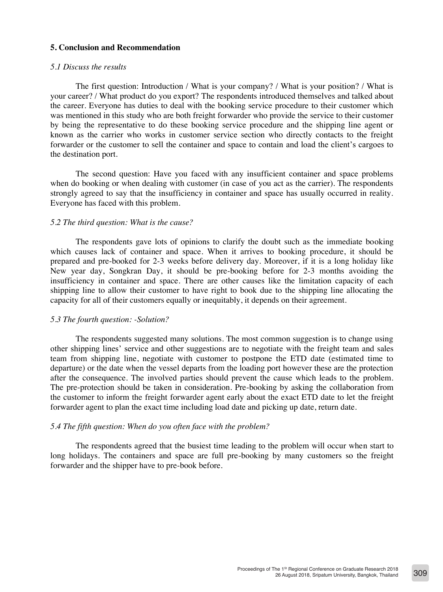### **5. Conclusion and Recommendation**

#### *5.1 Discuss the results*

The first question: Introduction / What is your company? / What is your position? / What is your career? / What product do you export? The respondents introduced themselves and talked about the career. Everyone has duties to deal with the booking service procedure to their customer which was mentioned in this study who are both freight forwarder who provide the service to their customer by being the representative to do these booking service procedure and the shipping line agent or known as the carrier who works in customer service section who directly contacts to the freight forwarder or the customer to sell the container and space to contain and load the client's cargoes to the destination port.

The second question: Have you faced with any insufficient container and space problems when do booking or when dealing with customer (in case of you act as the carrier). The respondents strongly agreed to say that the insufficiency in container and space has usually occurred in reality. Everyone has faced with this problem.

#### *5.2 The third question: What is the cause?*

The respondents gave lots of opinions to clarify the doubt such as the immediate booking which causes lack of container and space. When it arrives to booking procedure, it should be prepared and pre-booked for 2-3 weeks before delivery day. Moreover, if it is a long holiday like New year day, Songkran Day, it should be pre-booking before for 2-3 months avoiding the insufficiency in container and space. There are other causes like the limitation capacity of each shipping line to allow their customer to have right to book due to the shipping line allocating the capacity for all of their customers equally or inequitably, it depends on their agreement.

### *5.3 The fourth question: -Solution?*

The respondents suggested many solutions. The most common suggestion is to change using other shipping lines' service and other suggestions are to negotiate with the freight team and sales team from shipping line, negotiate with customer to postpone the ETD date (estimated time to departure) or the date when the vessel departs from the loading port however these are the protection after the consequence. The involved parties should prevent the cause which leads to the problem. The pre-protection should be taken in consideration. Pre-booking by asking the collaboration from the customer to inform the freight forwarder agent early about the exact ETD date to let the freight forwarder agent to plan the exact time including load date and picking up date, return date.

### *5.4 The fifth question: When do you often face with the problem?*

The respondents agreed that the busiest time leading to the problem will occur when start to long holidays. The containers and space are full pre-booking by many customers so the freight forwarder and the shipper have to pre-book before.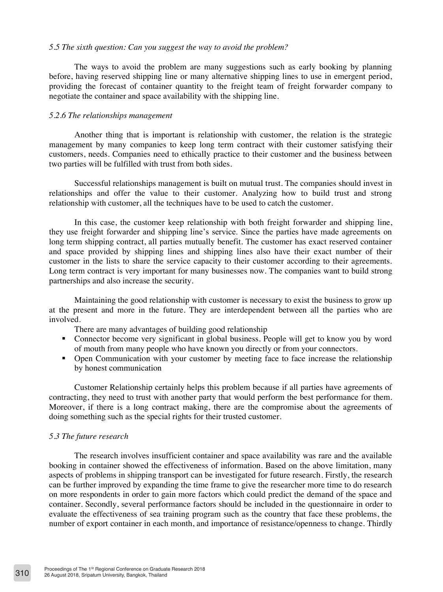#### *5.5 The sixth question: Can you suggest the way to avoid the problem?*

The ways to avoid the problem are many suggestions such as early booking by planning before, having reserved shipping line or many alternative shipping lines to use in emergent period, providing the forecast of container quantity to the freight team of freight forwarder company to negotiate the container and space availability with the shipping line.

#### *5.2.6 The relationships management*

Another thing that is important is relationship with customer, the relation is the strategic management by many companies to keep long term contract with their customer satisfying their customers, needs. Companies need to ethically practice to their customer and the business between two parties will be fulfilled with trust from both sides.

Successful relationships management is built on mutual trust. The companies should invest in relationships and offer the value to their customer. Analyzing how to build trust and strong relationship with customer, all the techniques have to be used to catch the customer.

In this case, the customer keep relationship with both freight forwarder and shipping line, they use freight forwarder and shipping line's service. Since the parties have made agreements on long term shipping contract, all parties mutually benefit. The customer has exact reserved container and space provided by shipping lines and shipping lines also have their exact number of their customer in the lists to share the service capacity to their customer according to their agreements. Long term contract is very important for many businesses now. The companies want to build strong partnerships and also increase the security.

Maintaining the good relationship with customer is necessary to exist the business to grow up at the present and more in the future. They are interdependent between all the parties who are involved.

There are many advantages of building good relationship

- Connector become very significant in global business. People will get to know you by word of mouth from many people who have known you directly or from your connectors.
- Open Communication with your customer by meeting face to face increase the relationship by honest communication

Customer Relationship certainly helps this problem because if all parties have agreements of contracting, they need to trust with another party that would perform the best performance for them. Moreover, if there is a long contract making, there are the compromise about the agreements of doing something such as the special rights for their trusted customer.

#### *5.3 The future research*

The research involves insufficient container and space availability was rare and the available booking in container showed the effectiveness of information. Based on the above limitation, many aspects of problems in shipping transport can be investigated for future research. Firstly, the research can be further improved by expanding the time frame to give the researcher more time to do research on more respondents in order to gain more factors which could predict the demand of the space and container. Secondly, several performance factors should be included in the questionnaire in order to evaluate the effectiveness of sea training program such as the country that face these problems, the number of export container in each month, and importance of resistance/openness to change. Thirdly